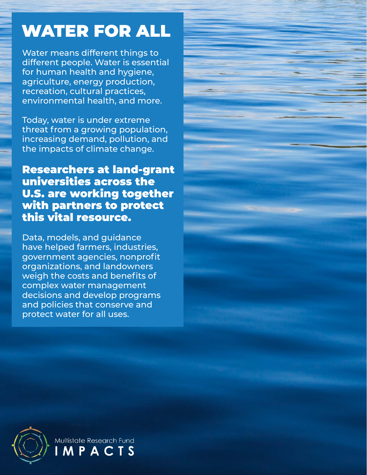## WATER FOR ALL

Water means different things to different people. Water is essential for human health and hygiene, agriculture, energy production, recreation, cultural practices, environmental health, and more.

Today, water is under extreme threat from a growing population, increasing demand, pollution, and the impacts of climate change.

Researchers at land-grant universities across the U.S. are working together with partners to protect this vital resource.

Data, models, and guidance have helped farmers, industries, government agencies, nonprofit organizations, and landowners weigh the costs and benefits of complex water management decisions and develop programs and policies that conserve and protect water for all uses.